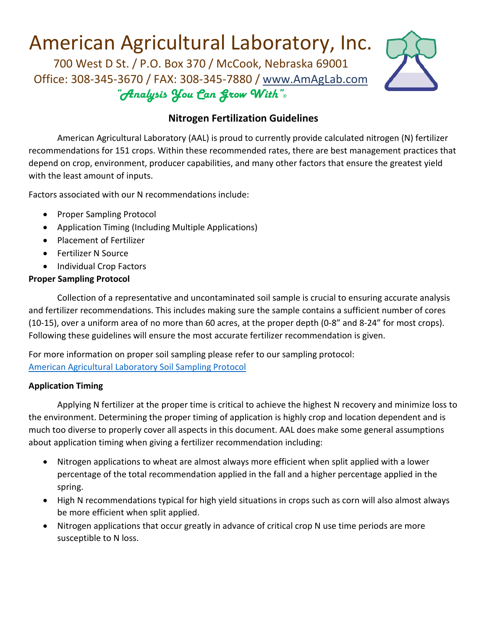# American Agricultural Laboratory, Inc.

700 West D St. / P.O. Box 370 / McCook, Nebraska 69001 Office: 308-345-3670 / FAX: 308-345-7880 / [www.AmAgLab.com](http://www.amaglab.com/) "Analysis You Can Grow With"®



## **Nitrogen Fertilization Guidelines**

American Agricultural Laboratory (AAL) is proud to currently provide calculated nitrogen (N) fertilizer recommendations for 151 crops. Within these recommended rates, there are best management practices that depend on crop, environment, producer capabilities, and many other factors that ensure the greatest yield with the least amount of inputs.

Factors associated with our N recommendations include:

- Proper Sampling Protocol
- Application Timing (Including Multiple Applications)
- Placement of Fertilizer
- Fertilizer N Source
- Individual Crop Factors

### **Proper Sampling Protocol**

Collection of a representative and uncontaminated soil sample is crucial to ensuring accurate analysis and fertilizer recommendations. This includes making sure the sample contains a sufficient number of cores (10-15), over a uniform area of no more than 60 acres, at the proper depth (0-8" and 8-24" for most crops). Following these guidelines will ensure the most accurate fertilizer recommendation is given.

For more information on proper soil sampling please refer to our sampling protocol: [American Agricultural Laboratory Soil Sampling Protocol](http://amaglab.azureedge.net/wp-content/uploads/AmAgLabSiteFiles/Sampling_Instructions/Directions_for_Taking_Soil_Samples.pdf)

#### **Application Timing**

Applying N fertilizer at the proper time is critical to achieve the highest N recovery and minimize loss to the environment. Determining the proper timing of application is highly crop and location dependent and is much too diverse to properly cover all aspects in this document. AAL does make some general assumptions about application timing when giving a fertilizer recommendation including:

- Nitrogen applications to wheat are almost always more efficient when split applied with a lower percentage of the total recommendation applied in the fall and a higher percentage applied in the spring.
- High N recommendations typical for high yield situations in crops such as corn will also almost always be more efficient when split applied.
- Nitrogen applications that occur greatly in advance of critical crop N use time periods are more susceptible to N loss.